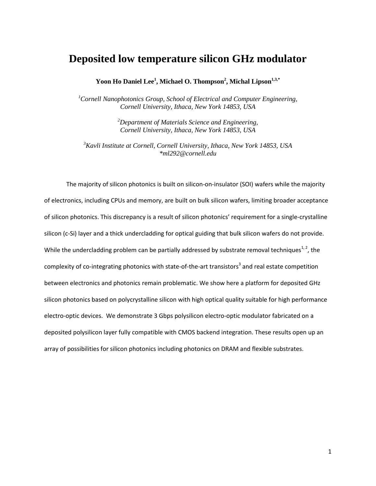# **Deposited low temperature silicon GHz modulator**

**Yoon Ho Daniel Lee<sup>1</sup> , Michael O. Thompson<sup>2</sup> , Michal Lipson1,3,\***

*<sup>1</sup>Cornell Nanophotonics Group, School of Electrical and Computer Engineering, Cornell University, Ithaca, New York 14853, USA*

> *<sup>2</sup>Department of Materials Science and Engineering, Cornell University, Ithaca, New York 14853, USA*

*<sup>3</sup>Kavli Institute at Cornell, Cornell University, Ithaca, New York 14853, USA \*ml292@cornell.edu*

The majority of silicon photonics is built on silicon-on-insulator (SOI) wafers while the majority of electronics, including CPUs and memory, are built on bulk silicon wafers, limiting broader acceptance of silicon photonics. This discrepancy is a result of silicon photonics' requirement for a single-crystalline silicon (c-Si) layer and a thick undercladding for optical guiding that bulk silicon wafers do not provide. While the undercladding problem can be partially addressed by substrate removal techniques<sup>[1,](#page-9-0)2</sup>, the complexity of co-integrating photonic[s](#page-9-2) with state-of-the-art transistors<sup>3</sup> and real estate competition between electronics and photonics remain problematic. We show here a platform for deposited GHz silicon photonics based on polycrystalline silicon with high optical quality suitable for high performance electro-optic devices. We demonstrate 3 Gbps polysilicon electro-optic modulator fabricated on a deposited polysilicon layer fully compatible with CMOS backend integration. These results open up an array of possibilities for silicon photonics including photonics on DRAM and flexible substrates.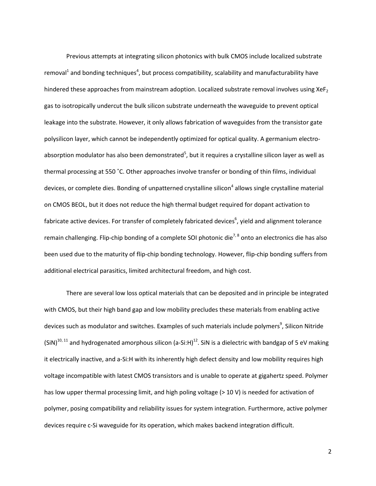Previous attempts at integrating silicon photonics with bulk CMOS include localized substrate remov[al](#page-9-0)<[s](#page-9-3)up>1</sup> and bonding techniques<sup>4</sup>, but process compatibility, scalability and manufacturability have hindered these approaches from mainstream adoption. Localized substrate removal involves using XeF<sub>2</sub> gas to isotropically undercut the bulk silicon substrate underneath the waveguide to prevent optical leakage into the substrate. However, it only allows fabrication of waveguides from the transistor gate polysilicon layer, which cannot be independently optimized for optical quality. A germanium electroabsorption mo[d](#page-9-4)ulator has also been demonstrated<sup>5</sup>, but it requires a crystalline silicon layer as well as thermal processing at 550 ˚C. Other approaches involve transfer or bonding of thin films, individual devices, or complete dies. Bo[n](#page-9-3)ding of unpatterned crystalline silicon<sup>4</sup> allows single crystalline material on CMOS BEOL, but it does not reduce the high thermal budget required for dopant activation to fabricate active devices. For transfer of completely fabricated devices<sup>6</sup>[,](#page-9-5) yield and alignment tolerance remain challenging. Flip-chip bonding of a complete SOI photonic die<sup>[7,](#page-9-6)8</sup> onto an electronics die has also been used due to the maturity of flip-chip bonding technology. However, flip-chip bonding suffers from additional electrical parasitics, limited architectural freedom, and high cost.

There are several low loss optical materials that can be deposited and in principle be integrated with CMOS, but their high band gap and low mobility precludes these materials from enabling active device[s](#page-9-8) such as modulator and switches. Examples of such materials include polymers<sup>9</sup>, Silicon Nitride (SiN)<sup>[10,](#page-9-9) [11](#page-9-10)</sup> and hydrogenated amorphous silicon (a-Si:H)<sup>[12](#page-10-0)</sup>. SiN is a dielectric with bandgap of 5 eV making it electrically inactive, and a-Si:H with its inherently high defect density and low mobility requires high voltage incompatible with latest CMOS transistors and is unable to operate at gigahertz speed. Polymer has low upper thermal processing limit, and high poling voltage ( $>$  10 V) is needed for activation of polymer, posing compatibility and reliability issues for system integration. Furthermore, active polymer devices require c-Si waveguide for its operation, which makes backend integration difficult.

2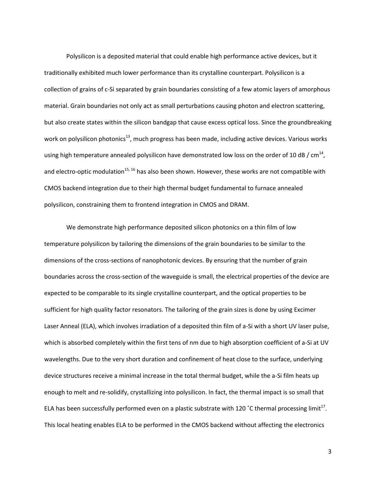Polysilicon is a deposited material that could enable high performance active devices, but it traditionally exhibited much lower performance than its crystalline counterpart. Polysilicon is a collection of grains of c-Si separated by grain boundaries consisting of a few atomic layers of amorphous material. Grain boundaries not only act as small perturbations causing photon and electron scattering, but also create states within the silicon bandgap that cause excess optical loss. Since the groundbreaking work on polysilicon photonics<sup>[13](#page-10-1)</sup>, much progress has been made, including active devices. Various works using high temperature annealed polysilicon have demonstrated low loss on the order of 10 dB / cm<sup>[14](#page-10-2)</sup>, and electro-optic modulation<sup>[15,](#page-10-3) [16](#page-10-4)</sup> has also been shown. However, these works are not compatible with CMOS backend integration due to their high thermal budget fundamental to furnace annealed polysilicon, constraining them to frontend integration in CMOS and DRAM.

We demonstrate high performance deposited silicon photonics on a thin film of low temperature polysilicon by tailoring the dimensions of the grain boundaries to be similar to the dimensions of the cross-sections of nanophotonic devices. By ensuring that the number of grain boundaries across the cross-section of the waveguide is small, the electrical properties of the device are expected to be comparable to its single crystalline counterpart, and the optical properties to be sufficient for high quality factor resonators. The tailoring of the grain sizes is done by using Excimer Laser Anneal (ELA), which involves irradiation of a deposited thin film of a-Si with a short UV laser pulse, which is absorbed completely within the first tens of nm due to high absorption coefficient of a-Si at UV wavelengths. Due to the very short duration and confinement of heat close to the surface, underlying device structures receive a minimal increase in the total thermal budget, while the a-Si film heats up enough to melt and re-solidify, crystallizing into polysilicon. In fact, the thermal impact is so small that ELA has been successfully performed even on a plastic substrate with 120 °C thermal processing limit<sup>[17](#page-10-5)</sup>. This local heating enables ELA to be performed in the CMOS backend without affecting the electronics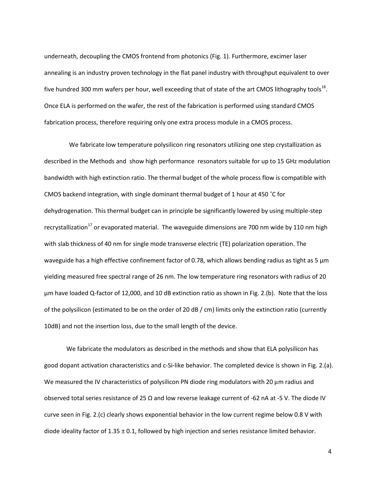underneath, decoupling the CMOS frontend from photonics (Fig. 1). Furthermore, excimer laser annealing is an industry proven technology in the flat panel industry with throughput equivalent to over five hundred 300 mm wafers per hour, well exceeding that of state of the art CMOS lithography tools<sup>[18](#page-10-6)</sup>. Once ELA is performed on the wafer, the rest of the fabrication is performed using standard CMOS fabrication process, therefore requiring only one extra process module in a CMOS process.

We fabricate low temperature polysilicon ring resonators utilizing one step crystallization as described in the Methods and show high performance resonators suitable for up to 15 GHz modulation bandwidth with high extinction ratio. The thermal budget of the whole process flow is compatible with CMOS backend integration, with single dominant thermal budget of 1 hour at 450 ˚C for dehydrogenation. This thermal budget can in principle be significantly lowered by using multiple-step recrystallization<sup>[17](#page-10-5)</sup> or evaporated material. The waveguide dimensions are 700 nm wide by 110 nm high with slab thickness of 40 nm for single mode transverse electric (TE) polarization operation. The waveguide has a high effective confinement factor of 0.78, which allows bending radius as tight as 5  $\mu$ m yielding measured free spectral range of 26 nm. The low temperature ring resonators with radius of 20 µm have loaded Q-factor of 12,000, and 10 dB extinction ratio as shown in Fig. 2.(b). Note that the loss of the polysilicon (estimated to be on the order of 20 dB / cm) limits only the extinction ratio (currently 10dB) and not the insertion loss, due to the small length of the device.

We fabricate the modulators as described in the methods and show that ELA polysilicon has good dopant activation characteristics and c-Si-like behavior. The completed device is shown in Fig. 2.(a). We measured the IV characteristics of polysilicon PN diode ring modulators with 20 μm radius and observed total series resistance of 25 Ω and low reverse leakage current of -62 nA at -5 V. The diode IV curve seen in Fig. 2.(c) clearly shows exponential behavior in the low current regime below 0.8 V with diode ideality factor of  $1.35 \pm 0.1$ , followed by high injection and series resistance limited behavior.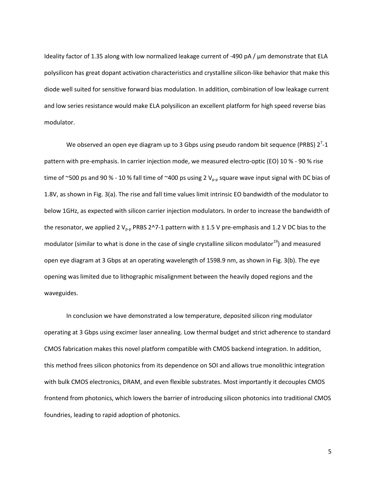Ideality factor of 1.35 along with low normalized leakage current of -490 pA / µm demonstrate that ELA polysilicon has great dopant activation characteristics and crystalline silicon-like behavior that make this diode well suited for sensitive forward bias modulation. In addition, combination of low leakage current and low series resistance would make ELA polysilicon an excellent platform for high speed reverse bias modulator.

We observed an open eye diagram up to 3 Gbps using pseudo random bit sequence (PRBS)  $2^7$ -1 pattern with pre-emphasis. In carrier injection mode, we measured electro-optic (EO) 10 % - 90 % rise time of ~500 ps and 90 % - 10 % fall time of ~400 ps using 2  $V_{p-p}$  square wave input signal with DC bias of 1.8V, as shown in Fig. 3(a). The rise and fall time values limit intrinsic EO bandwidth of the modulator to below 1GHz, as expected with silicon carrier injection modulators. In order to increase the bandwidth of the resonator, we applied 2  $V_{p-p}$  PRBS 2^7-1 pattern with  $\pm$  1.5 V pre-emphasis and 1.2 V DC bias to the modulator (similar to what is done in the case of single crystalline silicon modulator<sup>[19](#page-10-7)</sup>) and measured open eye diagram at 3 Gbps at an operating wavelength of 1598.9 nm, as shown in Fig. 3(b). The eye opening was limited due to lithographic misalignment between the heavily doped regions and the waveguides.

In conclusion we have demonstrated a low temperature, deposited silicon ring modulator operating at 3 Gbps using excimer laser annealing. Low thermal budget and strict adherence to standard CMOS fabrication makes this novel platform compatible with CMOS backend integration. In addition, this method frees silicon photonics from its dependence on SOI and allows true monolithic integration with bulk CMOS electronics, DRAM, and even flexible substrates. Most importantly it decouples CMOS frontend from photonics, which lowers the barrier of introducing silicon photonics into traditional CMOS foundries, leading to rapid adoption of photonics.

5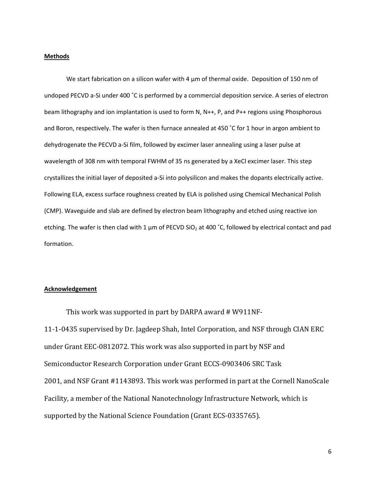#### **Methods**

We start fabrication on a silicon wafer with 4 µm of thermal oxide. Deposition of 150 nm of undoped PECVD a-Si under 400 ˚C is performed by a commercial deposition service. A series of electron beam lithography and ion implantation is used to form N, N++, P, and P++ regions using Phosphorous and Boron, respectively. The wafer is then furnace annealed at 450 ˚C for 1 hour in argon ambient to dehydrogenate the PECVD a-Si film, followed by excimer laser annealing using a laser pulse at wavelength of 308 nm with temporal FWHM of 35 ns generated by a XeCl excimer laser. This step crystallizes the initial layer of deposited a-Si into polysilicon and makes the dopants electrically active. Following ELA, excess surface roughness created by ELA is polished using Chemical Mechanical Polish (CMP). Waveguide and slab are defined by electron beam lithography and etched using reactive ion etching. The wafer is then clad with 1  $\mu$ m of PECVD SiO<sub>2</sub> at 400 °C, followed by electrical contact and pad formation.

### **Acknowledgement**

This work was supported in part by DARPA award # W911NF‐ 11‐1‐0435 supervised by Dr. Jagdeep Shah, Intel Corporation, and NSF through CIAN ERC under Grant EEC‐0812072. This work was also supported in part by NSF and Semiconductor Research Corporation under Grant ECCS‐0903406 SRC Task 2001, and NSF Grant #1143893. This work was performed in part at the Cornell NanoScale Facility, a member of the National Nanotechnology Infrastructure Network, which is supported by the National Science Foundation (Grant ECS-0335765).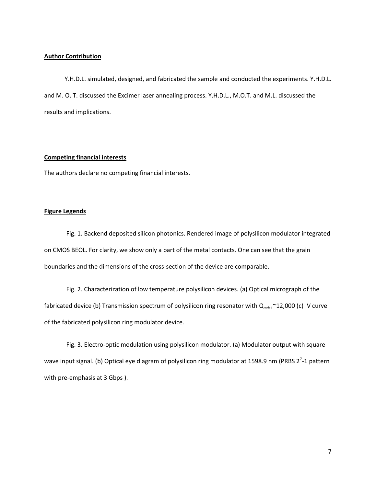### **Author Contribution**

Y.H.D.L. simulated, designed, and fabricated the sample and conducted the experiments. Y.H.D.L. and M. O. T. discussed the Excimer laser annealing process. Y.H.D.L., M.O.T. and M.L. discussed the results and implications.

### **Competing financial interests**

The authors declare no competing financial interests.

### **Figure Legends**

Fig. 1. Backend deposited silicon photonics. Rendered image of polysilicon modulator integrated on CMOS BEOL. For clarity, we show only a part of the metal contacts. One can see that the grain boundaries and the dimensions of the cross-section of the device are comparable.

Fig. 2. Characterization of low temperature polysilicon devices. (a) Optical micrograph of the fabricated device (b) Transmission spectrum of polysilicon ring resonator with  $Q_{\text{loaded}} \sim 12,000$  (c) IV curve of the fabricated polysilicon ring modulator device.

Fig. 3. Electro-optic modulation using polysilicon modulator. (a) Modulator output with square wave input signal. (b) Optical eye diagram of polysilicon ring modulator at 1598.9 nm (PRBS 2<sup>7</sup>-1 pattern with pre-emphasis at 3 Gbps ).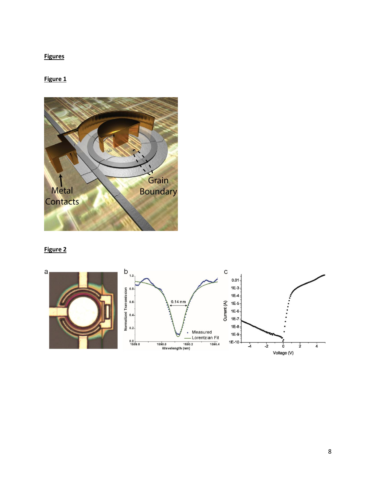## **Figures**

## **Figure 1**



### **Figure 2**

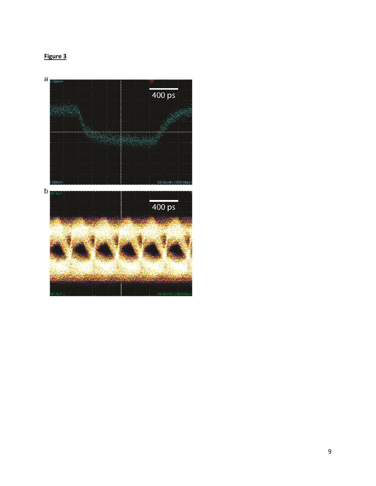## **Figure 3**

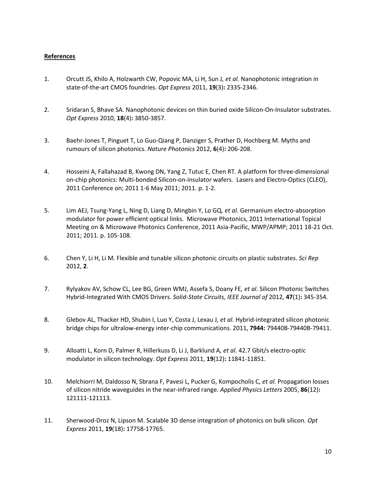### **References**

- <span id="page-9-0"></span>1. Orcutt JS, Khilo A, Holzwarth CW, Popovic MA, Li H, Sun J*, et al.* Nanophotonic integration in state-of-the-art CMOS foundries. *Opt Express* 2011, **19**(3)**:** 2335-2346.
- <span id="page-9-1"></span>2. Sridaran S, Bhave SA. Nanophotonic devices on thin buried oxide Silicon-On-Insulator substrates. *Opt Express* 2010, **18**(4)**:** 3850-3857.
- <span id="page-9-2"></span>3. Baehr-Jones T, Pinguet T, Lo Guo-Qiang P, Danziger S, Prather D, Hochberg M. Myths and rumours of silicon photonics. *Nature Photonics* 2012, **6**(4)**:** 206-208.
- <span id="page-9-3"></span>4. Hosseini A, Fallahazad B, Kwong DN, Yang Z, Tutuc E, Chen RT. A platform for three-dimensional on-chip photonics: Multi-bonded Silicon-on-insulator wafers. Lasers and Electro-Optics (CLEO), 2011 Conference on; 2011 1-6 May 2011; 2011. p. 1-2.
- <span id="page-9-4"></span>5. Lim AEJ, Tsung-Yang L, Ning D, Liang D, Mingbin Y, Lo GQ*, et al.* Germanium electro-absorption modulator for power efficient optical links. Microwave Photonics, 2011 International Topical Meeting on & Microwave Photonics Conference, 2011 Asia-Pacific, MWP/APMP; 2011 18-21 Oct. 2011; 2011. p. 105-108.
- <span id="page-9-5"></span>6. Chen Y, Li H, Li M. Flexible and tunable silicon photonic circuits on plastic substrates. *Sci Rep* 2012, **2**.
- <span id="page-9-6"></span>7. Rylyakov AV, Schow CL, Lee BG, Green WMJ, Assefa S, Doany FE*, et al.* Silicon Photonic Switches Hybrid-Integrated With CMOS Drivers. *Solid-State Circuits, IEEE Journal of* 2012, **47**(1)**:** 345-354.
- <span id="page-9-7"></span>8. Glebov AL, Thacker HD, Shubin I, Luo Y, Costa J, Lexau J*, et al.* Hybrid-integrated silicon photonic bridge chips for ultralow-energy inter-chip communications. 2011, **7944:** 79440B-79440B-79411.
- <span id="page-9-8"></span>9. Alloatti L, Korn D, Palmer R, Hillerkuss D, Li J, Barklund A*, et al.* 42.7 Gbit/s electro-optic modulator in silicon technology. *Opt Express* 2011, **19**(12)**:** 11841-11851.
- <span id="page-9-9"></span>10. Melchiorri M, Daldosso N, Sbrana F, Pavesi L, Pucker G, Kompocholis C*, et al.* Propagation losses of silicon nitride waveguides in the near-infrared range. *Applied Physics Letters* 2005, **86**(12)**:** 121111-121113.
- <span id="page-9-10"></span>11. Sherwood-Droz N, Lipson M. Scalable 3D dense integration of photonics on bulk silicon. *Opt Express* 2011, **19**(18)**:** 17758-17765.